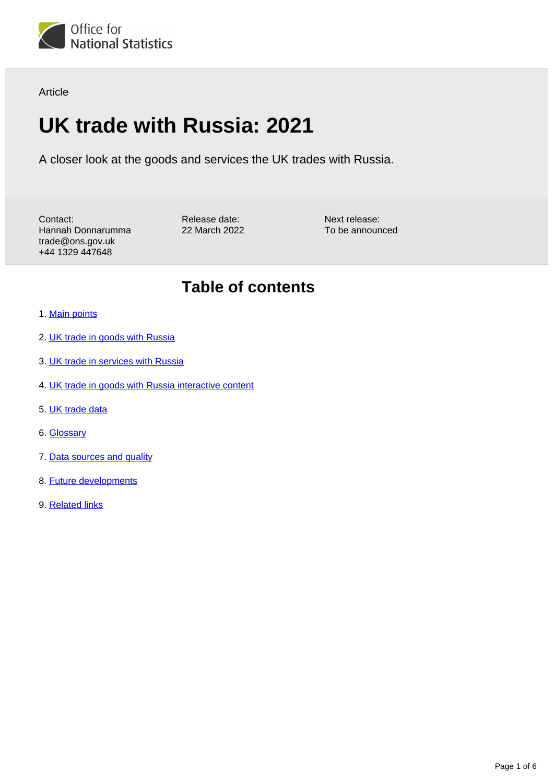

Article

# **UK trade with Russia: 2021**

A closer look at the goods and services the UK trades with Russia.

Contact: Hannah Donnarumma trade@ons.gov.uk +44 1329 447648

Release date: 22 March 2022 Next release: To be announced

## **Table of contents**

- 1. [Main points](#page-1-0)
- 2. [UK trade in goods with Russia](#page-1-1)
- 3. [UK trade in services with Russia](#page-2-0)
- 4. [UK trade in goods with Russia interactive content](#page-3-0)
- 5. [UK trade data](#page-4-0)
- 6. [Glossary](#page-4-1)
- 7. [Data sources and quality](#page-4-2)
- 8. [Future developments](#page-5-0)
- 9. [Related links](#page-5-1)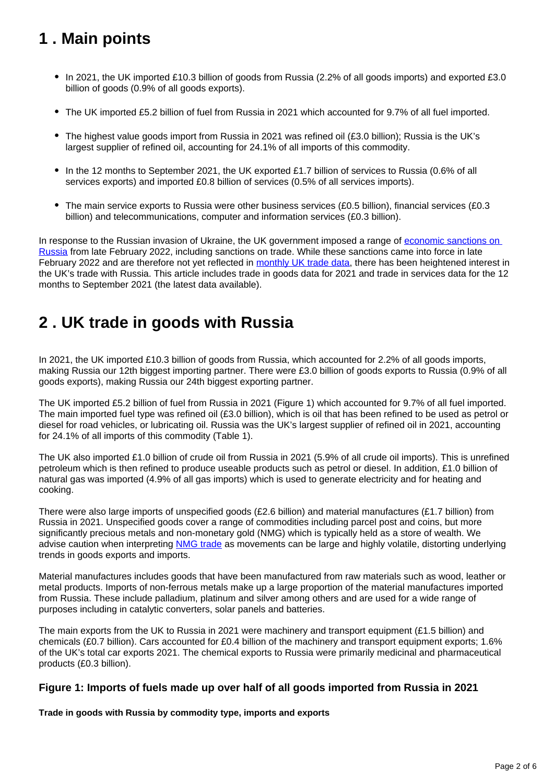## <span id="page-1-0"></span>**1 . Main points**

- In 2021, the UK imported £10.3 billion of goods from Russia (2.2% of all goods imports) and exported £3.0 billion of goods (0.9% of all goods exports).
- The UK imported £5.2 billion of fuel from Russia in 2021 which accounted for 9.7% of all fuel imported.
- The highest value goods import from Russia in 2021 was refined oil (£3.0 billion); Russia is the UK's largest supplier of refined oil, accounting for 24.1% of all imports of this commodity.
- In the 12 months to September 2021, the UK exported £1.7 billion of services to Russia (0.6% of all services exports) and imported £0.8 billion of services (0.5% of all services imports).
- $\bullet$  The main service exports to Russia were other business services (£0.5 billion), financial services (£0.3 billion) and telecommunications, computer and information services (£0.3 billion).

In response to the Russian invasion of Ukraine, the UK government imposed a range of [economic sanctions on](https://www.gov.uk/government/publications/russia-sanctions-guidance/russia-sanctions-guidance)  [Russia](https://www.gov.uk/government/publications/russia-sanctions-guidance/russia-sanctions-guidance) from late February 2022, including sanctions on trade. While these sanctions came into force in late February 2022 and are therefore not yet reflected in [monthly UK trade data,](https://www.ons.gov.uk/economy/nationalaccounts/balanceofpayments/bulletins/uktrade/latest/relateddata) there has been heightened interest in the UK's trade with Russia. This article includes trade in goods data for 2021 and trade in services data for the 12 months to September 2021 (the latest data available).

## <span id="page-1-1"></span>**2 . UK trade in goods with Russia**

In 2021, the UK imported £10.3 billion of goods from Russia, which accounted for 2.2% of all goods imports, making Russia our 12th biggest importing partner. There were £3.0 billion of goods exports to Russia (0.9% of all goods exports), making Russia our 24th biggest exporting partner.

The UK imported £5.2 billion of fuel from Russia in 2021 (Figure 1) which accounted for 9.7% of all fuel imported. The main imported fuel type was refined oil (£3.0 billion), which is oil that has been refined to be used as petrol or diesel for road vehicles, or lubricating oil. Russia was the UK's largest supplier of refined oil in 2021, accounting for 24.1% of all imports of this commodity (Table 1).

The UK also imported £1.0 billion of crude oil from Russia in 2021 (5.9% of all crude oil imports). This is unrefined petroleum which is then refined to produce useable products such as petrol or diesel. In addition, £1.0 billion of natural gas was imported (4.9% of all gas imports) which is used to generate electricity and for heating and cooking.

There were also large imports of unspecified goods (£2.6 billion) and material manufactures (£1.7 billion) from Russia in 2021. Unspecified goods cover a range of commodities including parcel post and coins, but more significantly precious metals and non-monetary gold (NMG) which is typically held as a store of wealth. We advise caution when interpreting [NMG trade](https://www.ons.gov.uk/economy/nationalaccounts/uksectoraccounts/articles/nationalaccountsarticles/abriefexplanationofnonmonetarygoldinnationalaccounts) as movements can be large and highly volatile, distorting underlying trends in goods exports and imports.

Material manufactures includes goods that have been manufactured from raw materials such as wood, leather or metal products. Imports of non-ferrous metals make up a large proportion of the material manufactures imported from Russia. These include palladium, platinum and silver among others and are used for a wide range of purposes including in catalytic converters, solar panels and batteries.

The main exports from the UK to Russia in 2021 were machinery and transport equipment (£1.5 billion) and chemicals (£0.7 billion). Cars accounted for £0.4 billion of the machinery and transport equipment exports; 1.6% of the UK's total car exports 2021. The chemical exports to Russia were primarily medicinal and pharmaceutical products (£0.3 billion).

### **Figure 1: Imports of fuels made up over half of all goods imported from Russia in 2021**

**Trade in goods with Russia by commodity type, imports and exports**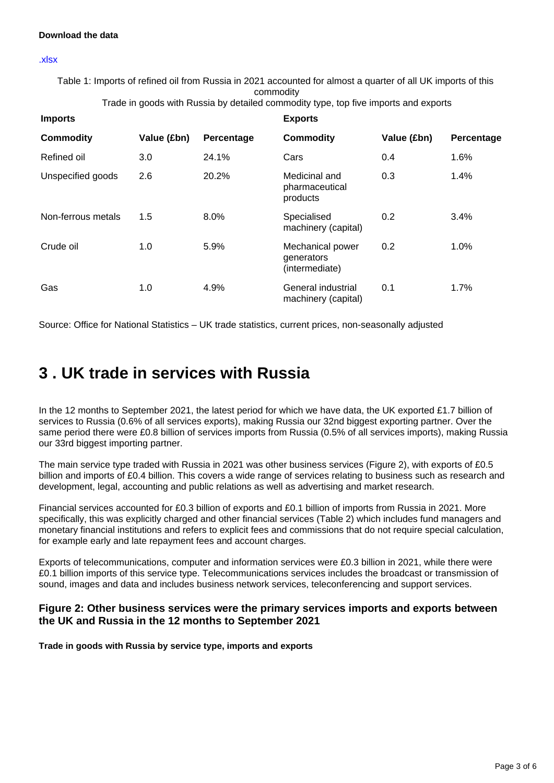#### **Download the data**

#### [.xlsx](https://www.ons.gov.uk/visualisations/dvc1878/fig1wrapper/datadownload.xlsx)

Table 1: Imports of refined oil from Russia in 2021 accounted for almost a quarter of all UK imports of this commodity

Trade in goods with Russia by detailed commodity type, top five imports and exports

| <b>Imports</b>     |             |            | <b>Exports</b>                                   |             |            |
|--------------------|-------------|------------|--------------------------------------------------|-------------|------------|
| <b>Commodity</b>   | Value (£bn) | Percentage | <b>Commodity</b>                                 | Value (£bn) | Percentage |
| Refined oil        | 3.0         | 24.1%      | Cars                                             | 0.4         | 1.6%       |
| Unspecified goods  | 2.6         | 20.2%      | Medicinal and<br>pharmaceutical<br>products      | 0.3         | 1.4%       |
| Non-ferrous metals | 1.5         | 8.0%       | Specialised<br>machinery (capital)               | 0.2         | 3.4%       |
| Crude oil          | 1.0         | 5.9%       | Mechanical power<br>generators<br>(intermediate) | 0.2         | 1.0%       |
| Gas                | 1.0         | 4.9%       | General industrial<br>machinery (capital)        | 0.1         | 1.7%       |

Source: Office for National Statistics – UK trade statistics, current prices, non-seasonally adjusted

## <span id="page-2-0"></span>**3 . UK trade in services with Russia**

In the 12 months to September 2021, the latest period for which we have data, the UK exported £1.7 billion of services to Russia (0.6% of all services exports), making Russia our 32nd biggest exporting partner. Over the same period there were £0.8 billion of services imports from Russia (0.5% of all services imports), making Russia our 33rd biggest importing partner.

The main service type traded with Russia in 2021 was other business services (Figure 2), with exports of £0.5 billion and imports of £0.4 billion. This covers a wide range of services relating to business such as research and development, legal, accounting and public relations as well as advertising and market research.

Financial services accounted for £0.3 billion of exports and £0.1 billion of imports from Russia in 2021. More specifically, this was explicitly charged and other financial services (Table 2) which includes fund managers and monetary financial institutions and refers to explicit fees and commissions that do not require special calculation, for example early and late repayment fees and account charges.

Exports of telecommunications, computer and information services were £0.3 billion in 2021, while there were £0.1 billion imports of this service type. Telecommunications services includes the broadcast or transmission of sound, images and data and includes business network services, teleconferencing and support services.

### **Figure 2: Other business services were the primary services imports and exports between the UK and Russia in the 12 months to September 2021**

**Trade in goods with Russia by service type, imports and exports**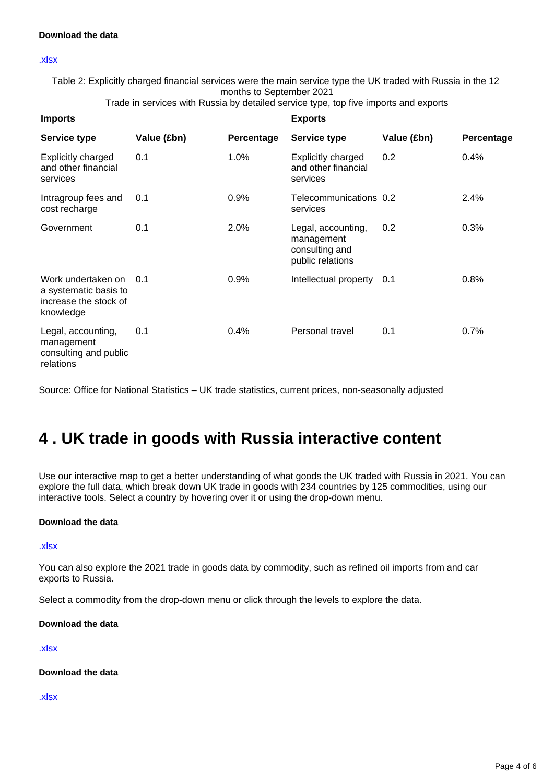#### [.xlsx](https://www.ons.gov.uk/visualisations/dvc1878/fig2wrapper/datadownload.xlsx)

Table 2: Explicitly charged financial services were the main service type the UK traded with Russia in the 12 months to September 2021

Trade in services with Russia by detailed service type, top five imports and exports

| <b>Imports</b>                                                                    |             | <b>Exports</b> |                                                                        |             |            |
|-----------------------------------------------------------------------------------|-------------|----------------|------------------------------------------------------------------------|-------------|------------|
| <b>Service type</b>                                                               | Value (£bn) | Percentage     | <b>Service type</b>                                                    | Value (£bn) | Percentage |
| <b>Explicitly charged</b><br>and other financial<br>services                      | 0.1         | 1.0%           | Explicitly charged<br>and other financial<br>services                  | 0.2         | 0.4%       |
| Intragroup fees and<br>cost recharge                                              | 0.1         | 0.9%           | Telecommunications 0.2<br>services                                     |             | 2.4%       |
| Government                                                                        | 0.1         | 2.0%           | Legal, accounting,<br>management<br>consulting and<br>public relations | 0.2         | 0.3%       |
| Work undertaken on<br>a systematic basis to<br>increase the stock of<br>knowledge | 0.1         | 0.9%           | Intellectual property                                                  | 0.1         | 0.8%       |
| Legal, accounting,<br>management<br>consulting and public<br>relations            | 0.1         | 0.4%           | Personal travel                                                        | 0.1         | 0.7%       |

Source: Office for National Statistics – UK trade statistics, current prices, non-seasonally adjusted

## <span id="page-3-0"></span>**4 . UK trade in goods with Russia interactive content**

Use our interactive map to get a better understanding of what goods the UK traded with Russia in 2021. You can explore the full data, which break down UK trade in goods with 234 countries by 125 commodities, using our interactive tools. Select a country by hovering over it or using the drop-down menu.

#### **Download the data**

[.xlsx](https://www.ons.gov.uk/visualisations/dvc1797/worldmap/datadownload.xlsx )

You can also explore the 2021 trade in goods data by commodity, such as refined oil imports from and car exports to Russia.

Select a commodity from the drop-down menu or click through the levels to explore the data.

#### **Download the data**

#### [.xlsx](https://www.ons.gov.uk/visualisations/dvc1797/treemap/exports.xlsx)

**Download the data**

#### [.xlsx](https://www.ons.gov.uk/visualisations/dvc1797/treemap/imports.xlsx)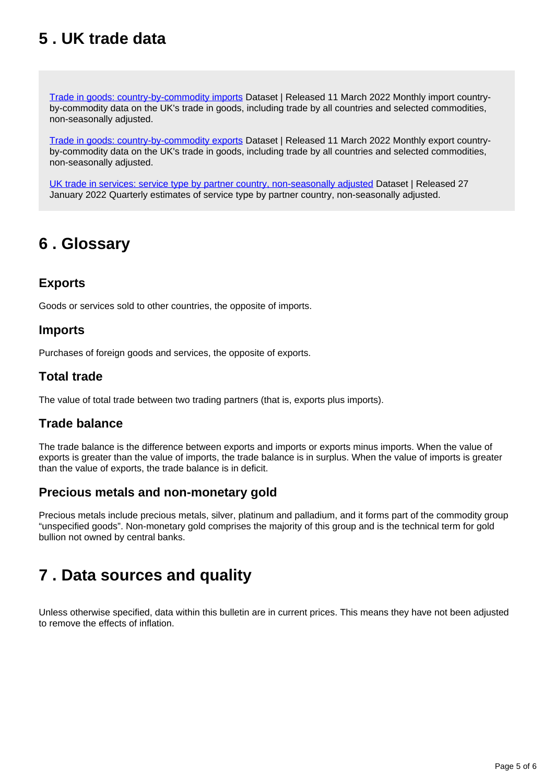## <span id="page-4-0"></span>**5 . UK trade data**

[Trade in goods: country-by-commodity imports](https://www.ons.gov.uk/economy/nationalaccounts/balanceofpayments/datasets/uktradecountrybycommodityimports) Dataset | Released 11 March 2022 Monthly import countryby-commodity data on the UK's trade in goods, including trade by all countries and selected commodities, non-seasonally adjusted.

[Trade in goods: country-by-commodity exports](https://www.ons.gov.uk/economy/nationalaccounts/balanceofpayments/datasets/uktradecountrybycommodityexports) Dataset | Released 11 March 2022 Monthly export countryby-commodity data on the UK's trade in goods, including trade by all countries and selected commodities, non-seasonally adjusted.

[UK trade in services: service type by partner country, non-seasonally adjusted](https://www.ons.gov.uk/businessindustryandtrade/internationaltrade/datasets/uktradeinservicesservicetypebypartnercountrynonseasonallyadjusted) Dataset | Released 27 January 2022 Quarterly estimates of service type by partner country, non-seasonally adjusted.

## <span id="page-4-1"></span>**6 . Glossary**

### **Exports**

Goods or services sold to other countries, the opposite of imports.

### **Imports**

Purchases of foreign goods and services, the opposite of exports.

### **Total trade**

The value of total trade between two trading partners (that is, exports plus imports).

### **Trade balance**

The trade balance is the difference between exports and imports or exports minus imports. When the value of exports is greater than the value of imports, the trade balance is in surplus. When the value of imports is greater than the value of exports, the trade balance is in deficit.

### **Precious metals and non-monetary gold**

Precious metals include precious metals, silver, platinum and palladium, and it forms part of the commodity group "unspecified goods". Non-monetary gold comprises the majority of this group and is the technical term for gold bullion not owned by central banks.

## <span id="page-4-2"></span>**7 . Data sources and quality**

Unless otherwise specified, data within this bulletin are in current prices. This means they have not been adjusted to remove the effects of inflation.